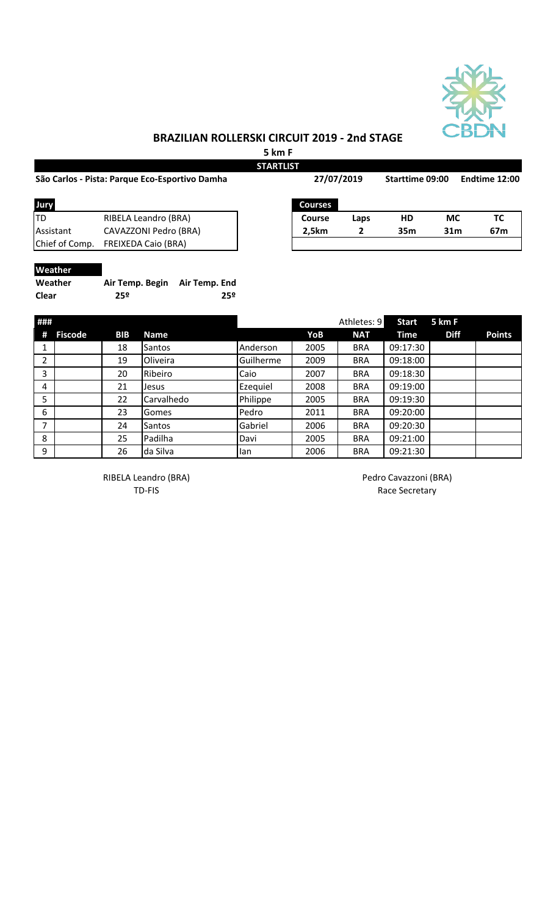

## **BRAZILIAN ROLLERSKI CIRCUIT 2019 - 2nd STAGE**

**5 km F**

|                                                |                            |               | <b>STARTLIST</b> |                |      |                 |                 |               |  |
|------------------------------------------------|----------------------------|---------------|------------------|----------------|------|-----------------|-----------------|---------------|--|
| São Carlos - Pista: Parque Eco-Esportivo Damha |                            |               |                  | 27/07/2019     |      | Starttime 09:00 |                 | Endtime 12:00 |  |
| Jury                                           |                            |               |                  | <b>Courses</b> |      |                 |                 |               |  |
| <b>TD</b>                                      | RIBELA Leandro (BRA)       |               |                  | <b>Course</b>  | Laps | HD              | <b>MC</b>       | ТC            |  |
| Assistant                                      | CAVAZZONI Pedro (BRA)      |               |                  | 2,5km          | 2    | 35 <sub>m</sub> | 31 <sub>m</sub> | 67m           |  |
| Chief of Comp.                                 | <b>FREIXEDA Caio (BRA)</b> |               |                  |                |      |                 |                 |               |  |
| Weather                                        |                            |               |                  |                |      |                 |                 |               |  |
| Weather                                        | Air Temp. Begin            | Air Temp. End |                  |                |      |                 |                 |               |  |
| <b>Clear</b>                                   | 25º                        |               | 25º              |                |      |                 |                 |               |  |

| ###            |                |     |             |           |      | Athletes: 9 | <b>Start</b> | 5 km F      |               |
|----------------|----------------|-----|-------------|-----------|------|-------------|--------------|-------------|---------------|
| #              | <b>Fiscode</b> | BIB | <b>Name</b> |           | YoB  | <b>NAT</b>  | <b>Time</b>  | <b>Diff</b> | <b>Points</b> |
| 1              |                | 18  | Santos      | Anderson  | 2005 | <b>BRA</b>  | 09:17:30     |             |               |
| $\overline{2}$ |                | 19  | Oliveira    | Guilherme | 2009 | <b>BRA</b>  | 09:18:00     |             |               |
| 3              |                | 20  | Ribeiro     | Caio      | 2007 | <b>BRA</b>  | 09:18:30     |             |               |
| $\overline{4}$ |                | 21  | Jesus       | Ezequiel  | 2008 | <b>BRA</b>  | 09:19:00     |             |               |
| 5              |                | 22  | Carvalhedo  | Philippe  | 2005 | <b>BRA</b>  | 09:19:30     |             |               |
| 6              |                | 23  | Gomes       | Pedro     | 2011 | <b>BRA</b>  | 09:20:00     |             |               |
| 7              |                | 24  | Santos      | Gabriel   | 2006 | <b>BRA</b>  | 09:20:30     |             |               |
| 8              |                | 25  | Padilha     | Davi      | 2005 | <b>BRA</b>  | 09:21:00     |             |               |
| 9              |                | 26  | da Silva    | lan       | 2006 | <b>BRA</b>  | 09:21:30     |             |               |

RIBELA Leandro (BRA) and a control of the Pedro Cavazzoni (BRA) TD-FIS Race Secretary